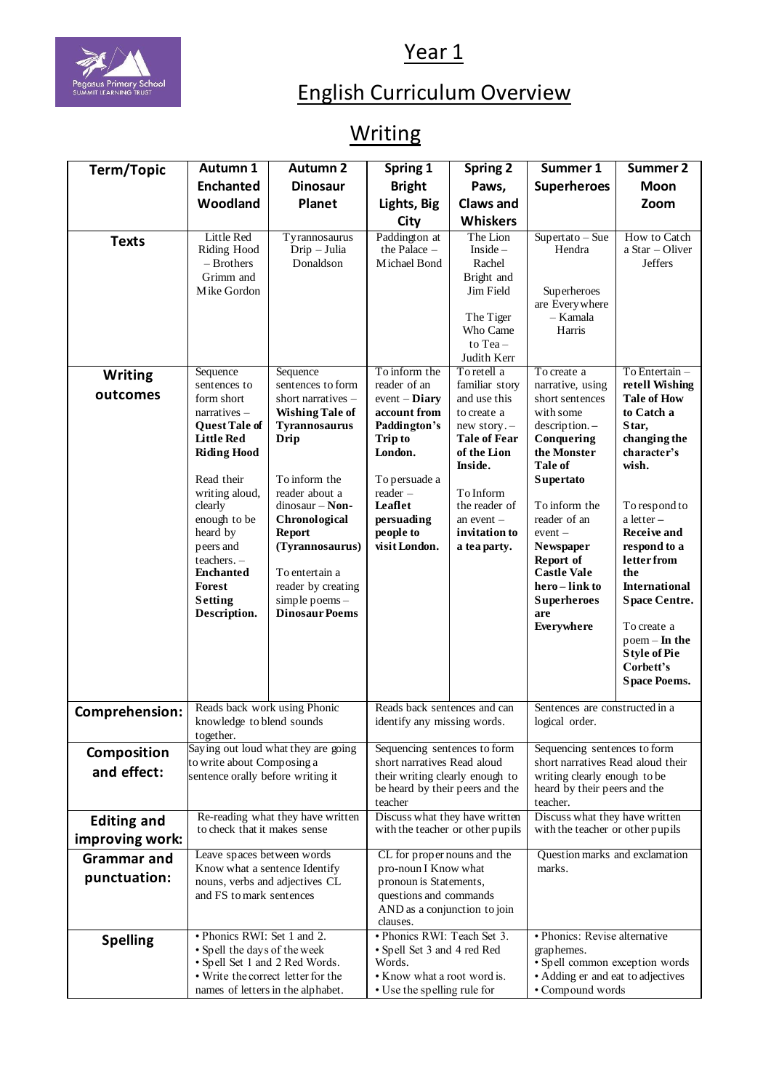## Year 1



## English Curriculum Overview

## **Writing**

| Term/Topic            | <b>Autumn 1</b>                                                                                                                                                                                                                                      | <b>Autumn 2</b>                                                                                                                                                                                                                                       | Spring 1                                                                                                                                     | <b>Spring 2</b>                                                                                                                                            | Summer 1                                                                                                                                                                                                                                         | Summer 2                                                                                                                                                                                                                                                                                            |  |
|-----------------------|------------------------------------------------------------------------------------------------------------------------------------------------------------------------------------------------------------------------------------------------------|-------------------------------------------------------------------------------------------------------------------------------------------------------------------------------------------------------------------------------------------------------|----------------------------------------------------------------------------------------------------------------------------------------------|------------------------------------------------------------------------------------------------------------------------------------------------------------|--------------------------------------------------------------------------------------------------------------------------------------------------------------------------------------------------------------------------------------------------|-----------------------------------------------------------------------------------------------------------------------------------------------------------------------------------------------------------------------------------------------------------------------------------------------------|--|
|                       | <b>Enchanted</b>                                                                                                                                                                                                                                     | <b>Dinosaur</b>                                                                                                                                                                                                                                       | <b>Bright</b>                                                                                                                                | Paws,                                                                                                                                                      | <b>Superheroes</b>                                                                                                                                                                                                                               | Moon                                                                                                                                                                                                                                                                                                |  |
|                       | Woodland                                                                                                                                                                                                                                             | Planet                                                                                                                                                                                                                                                | Lights, Big                                                                                                                                  | <b>Claws and</b>                                                                                                                                           |                                                                                                                                                                                                                                                  | Zoom                                                                                                                                                                                                                                                                                                |  |
|                       |                                                                                                                                                                                                                                                      |                                                                                                                                                                                                                                                       | City                                                                                                                                         | <b>Whiskers</b>                                                                                                                                            |                                                                                                                                                                                                                                                  |                                                                                                                                                                                                                                                                                                     |  |
| <b>Texts</b>          | Little Red<br>Riding Hood<br>- Brothers<br>Grimm and<br>Mike Gordon                                                                                                                                                                                  | Tyrannosaurus<br>Drip - Julia<br>Donaldson                                                                                                                                                                                                            | Paddington at<br>the Palace $-$<br>Michael Bond                                                                                              | The Lion<br>Inside $-$<br>Rachel<br>Bright and<br>Jim Field<br>The Tiger<br>Who Came<br>to Tea-                                                            | $Supertato - Sue$<br>Hendra<br>Superheroes<br>are Everywhere<br>- Kamala<br>Harris                                                                                                                                                               | How to Catch<br>$a Star$ – Oliver<br><b>Jeffers</b>                                                                                                                                                                                                                                                 |  |
|                       | Sequence                                                                                                                                                                                                                                             | Sequence                                                                                                                                                                                                                                              | To inform the                                                                                                                                | Judith Kerr<br>To retell a                                                                                                                                 | To create a                                                                                                                                                                                                                                      | To Entertain -                                                                                                                                                                                                                                                                                      |  |
| <b>Writing</b>        | sentences to                                                                                                                                                                                                                                         | sentences to form                                                                                                                                                                                                                                     | reader of an                                                                                                                                 | familiar story                                                                                                                                             | narrative, using                                                                                                                                                                                                                                 | retell Wishing                                                                                                                                                                                                                                                                                      |  |
| outcomes              | form short                                                                                                                                                                                                                                           | short narratives -                                                                                                                                                                                                                                    | $event$ - $Diary$                                                                                                                            | and use this                                                                                                                                               | short sentences                                                                                                                                                                                                                                  | <b>Tale of How</b>                                                                                                                                                                                                                                                                                  |  |
|                       | $narratives -$<br><b>Quest Tale of</b><br><b>Little Red</b><br><b>Riding Hood</b><br>Read their<br>writing aloud,<br>clearly<br>enough to be<br>heard by<br>peers and<br>teachers. -<br><b>Enchanted</b><br>Forest<br><b>Setting</b><br>Description. | <b>Wishing Tale of</b><br><b>Tyrannosaurus</b><br>Drip<br>To inform the<br>reader about a<br>$dinosaur - Non-$<br>Chronological<br><b>Report</b><br>(Tyrannosaurus)<br>To entertain a<br>reader by creating<br>simple poems-<br><b>Dinosaur Poems</b> | account from<br>Paddington's<br><b>Trip to</b><br>London.<br>To persuade a<br>reader-<br>Leaflet<br>persuading<br>people to<br>visit London. | to create a<br>new story.-<br><b>Tale of Fear</b><br>of the Lion<br>Inside.<br>To Inform<br>the reader of<br>an event $-$<br>invitation to<br>a tea party. | with some<br>description. -<br>Conquering<br>the Monster<br>Tale of<br><b>Supertato</b><br>To inform the<br>reader of an<br>$event -$<br>Newspaper<br>Report of<br><b>Castle Vale</b><br>hero-link to<br><b>Superheroes</b><br>are<br>Everywhere | to Catch a<br>Star,<br>changing the<br>character's<br>wish.<br>To respond to<br>a letter-<br><b>Receive and</b><br>respond to a<br>letter from<br>the<br><b>International</b><br><b>Space Centre.</b><br>To create a<br>$p$ oem – In the<br><b>Style of Pie</b><br>Corbett's<br><b>Space Poems.</b> |  |
| <b>Comprehension:</b> | Reads back work using Phonic<br>knowledge to blend sounds<br>together.                                                                                                                                                                               |                                                                                                                                                                                                                                                       | Reads back sentences and can<br>identify any missing words.                                                                                  |                                                                                                                                                            | Sentences are constructed in a<br>logical order.                                                                                                                                                                                                 |                                                                                                                                                                                                                                                                                                     |  |
| <b>Composition</b>    |                                                                                                                                                                                                                                                      | Saying out loud what they are going                                                                                                                                                                                                                   |                                                                                                                                              | Sequencing sentences to form                                                                                                                               |                                                                                                                                                                                                                                                  | Sequencing sentences to form                                                                                                                                                                                                                                                                        |  |
| and effect:           | to write about Composing a<br>sentence orally before writing it                                                                                                                                                                                      |                                                                                                                                                                                                                                                       | short narratives Read aloud<br>their writing clearly enough to<br>be heard by their peers and the<br>teacher                                 |                                                                                                                                                            | short narratives Read aloud their<br>writing clearly enough to be<br>heard by their peers and the<br>teacher.                                                                                                                                    |                                                                                                                                                                                                                                                                                                     |  |
| <b>Editing and</b>    | Re-reading what they have written<br>to check that it makes sense                                                                                                                                                                                    |                                                                                                                                                                                                                                                       | Discuss what they have written                                                                                                               |                                                                                                                                                            | Discuss what they have written                                                                                                                                                                                                                   |                                                                                                                                                                                                                                                                                                     |  |
| improving work:       |                                                                                                                                                                                                                                                      |                                                                                                                                                                                                                                                       | with the teacher or other pupils                                                                                                             |                                                                                                                                                            | with the teacher or other pupils                                                                                                                                                                                                                 |                                                                                                                                                                                                                                                                                                     |  |
| <b>Grammar</b> and    | Leave spaces between words                                                                                                                                                                                                                           |                                                                                                                                                                                                                                                       | CL for proper nouns and the                                                                                                                  |                                                                                                                                                            | Question marks and exclamation                                                                                                                                                                                                                   |                                                                                                                                                                                                                                                                                                     |  |
| punctuation:          | Know what a sentence Identify<br>nouns, verbs and adjectives CL<br>and FS to mark sentences                                                                                                                                                          |                                                                                                                                                                                                                                                       | pro-noun I Know what<br>pronoun is Statements,<br>questions and commands<br>AND as a conjunction to join<br>clauses.                         |                                                                                                                                                            | marks.                                                                                                                                                                                                                                           |                                                                                                                                                                                                                                                                                                     |  |
| <b>Spelling</b>       | • Phonics RWI: Set 1 and 2.<br>• Spell the days of the week<br>• Spell Set 1 and 2 Red Words.<br>• Write the correct letter for the<br>names of letters in the alphabet.                                                                             |                                                                                                                                                                                                                                                       | • Phonics RWI: Teach Set 3.<br>• Spell Set 3 and 4 red Red<br>Words.<br>• Know what a root word is.<br>• Use the spelling rule for           |                                                                                                                                                            | · Phonics: Revise alternative<br>graphemes.<br>· Spell common exception words<br>• Adding er and eat to adjectives<br>• Compound words                                                                                                           |                                                                                                                                                                                                                                                                                                     |  |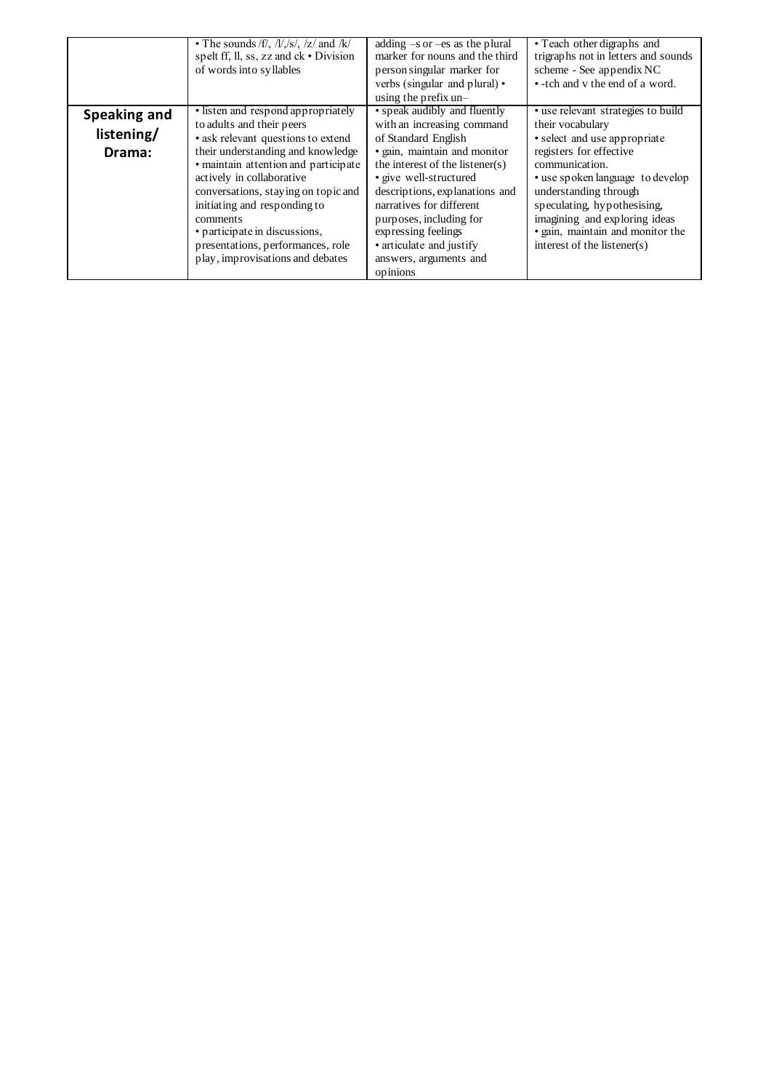|                                      | • The sounds /f/, $/11/5/$ , $/z/$ and $/k/$<br>spelt ff, ll, ss, zz and $ck \cdot Division$<br>of words into syllables                                                                                                                                                                                                                                                                                      | adding $-s$ or $-es$ as the plural<br>marker for nouns and the third<br>person singular marker for<br>verbs (singular and plural) •<br>using the prefix un-                                                                                                                                                                                                      | • Teach other digraphs and<br>trigraphs not in letters and sounds<br>scheme - See appendix NC<br>• -tch and v the end of a word.                                                                                                                                                                                                        |  |
|--------------------------------------|--------------------------------------------------------------------------------------------------------------------------------------------------------------------------------------------------------------------------------------------------------------------------------------------------------------------------------------------------------------------------------------------------------------|------------------------------------------------------------------------------------------------------------------------------------------------------------------------------------------------------------------------------------------------------------------------------------------------------------------------------------------------------------------|-----------------------------------------------------------------------------------------------------------------------------------------------------------------------------------------------------------------------------------------------------------------------------------------------------------------------------------------|--|
| Speaking and<br>listening/<br>Drama: | • listen and respond appropriately<br>to adults and their peers<br>• ask relevant questions to extend<br>their understanding and knowledge<br>• maintain attention and participate<br>actively in collaborative<br>conversations, staying on topic and<br>initiating and responding to<br>comments<br>• participate in discussions,<br>presentations, performances, role<br>play, improvisations and debates | • speak audibly and fluently<br>with an increasing command<br>of Standard English<br>· gain, maintain and monitor<br>the interest of the listener(s)<br>· give well-structured<br>descriptions, explanations and<br>narratives for different<br>purposes, including for<br>expressing feelings<br>• articulate and justify<br>answers, arguments and<br>opinions | · use relevant strategies to build<br>their vocabulary<br>· select and use appropriate<br>registers for effective<br>communication.<br>• use spoken language to develop<br>understanding through<br>speculating, hypothesising,<br>imagining and exploring ideas<br>· gain, maintain and monitor the<br>interest of the listener( $s$ ) |  |